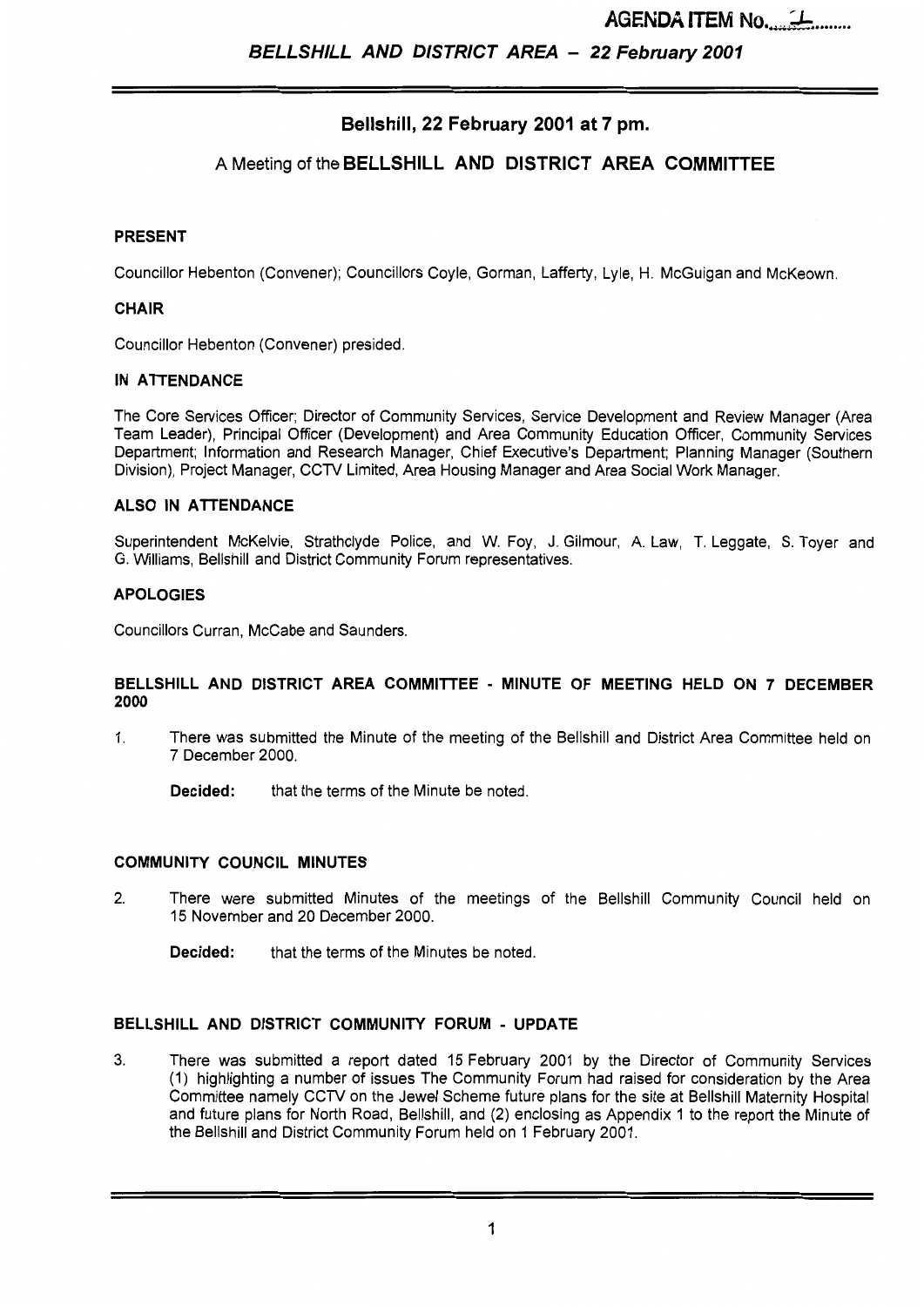**AGENDA ITEM No....**  $\rightarrow$  ........

# **Bellshill, 22 February 2001 at 7 pm.**

# **A** Meeting of the **BELLSHILL AND DISTRICT AREA COMMITTEE**

#### **PRESENT**

Councillor Hebenton (Convener); Councillors Coyle, Gorman, Lafferty, Lyle, **H.** McGuigan and McKeown.

#### **CHAIR**

Councillor Hebenton (Convener) presided.

#### **IN ATTENDANCE**

The Core Services Officer; Director of Community Services, Service Development and Review Manager (Area Team Leader), Principal Officer (Development) and Area Community Education Officer, Community Services Department; Information and Research Manager, Chief Executive's Department; Planning Manager (Southern Division), Project Manager, CCTV Limited, Area Housing Manager and Area Social Work Manager.

#### **ALSO IN ATTENDANCE**

Superintendent McKelvie, Strathclyde Police, and W. Foy, J. Gilmour, A. Law, T. Leggate, *S.* Toyer and G. Williams, Bellshill and District Community Forum representatives.

#### **APOLOGIES**

Councillors Curran, McCabe and Saunders.

#### **BELLSHILL AND DISTRICT AREA COMMITTEE** - **MINUTE OF MEETING HELD ON 7 DECEMBER 2000**

1. There was submitted the Minute of the meeting of the Bellshill and District Area Committee held on 7 December 2000.

**Decided:** that the terms of the Minute be noted.

#### **COMMUNITY COUNCIL MINUTES**

2. There were submitted Minutes of the meetings of the Bellshill Community Council held on 15 November and 20 December 2000.

**Decided:** that the terms of the Minutes be noted.

#### **BELLSHILL AND DISTRICT COMMUNITY FORUM** - **UPDATE**

**3.** There was submitted a report dated 15 February 2001 by the Director of Community Services (1) highlighting a number of issues The Community Forum had raised for consideration by the Area Committee namely CCTV on the Jewel Scheme future plans for the site at Bellshill Maternity Hospital and future plans for North Road, Bellshill, and (2) enclosing as Appendix 1 to the report the Minute of the Bellshill and District Community Forum held on 1 February 2001.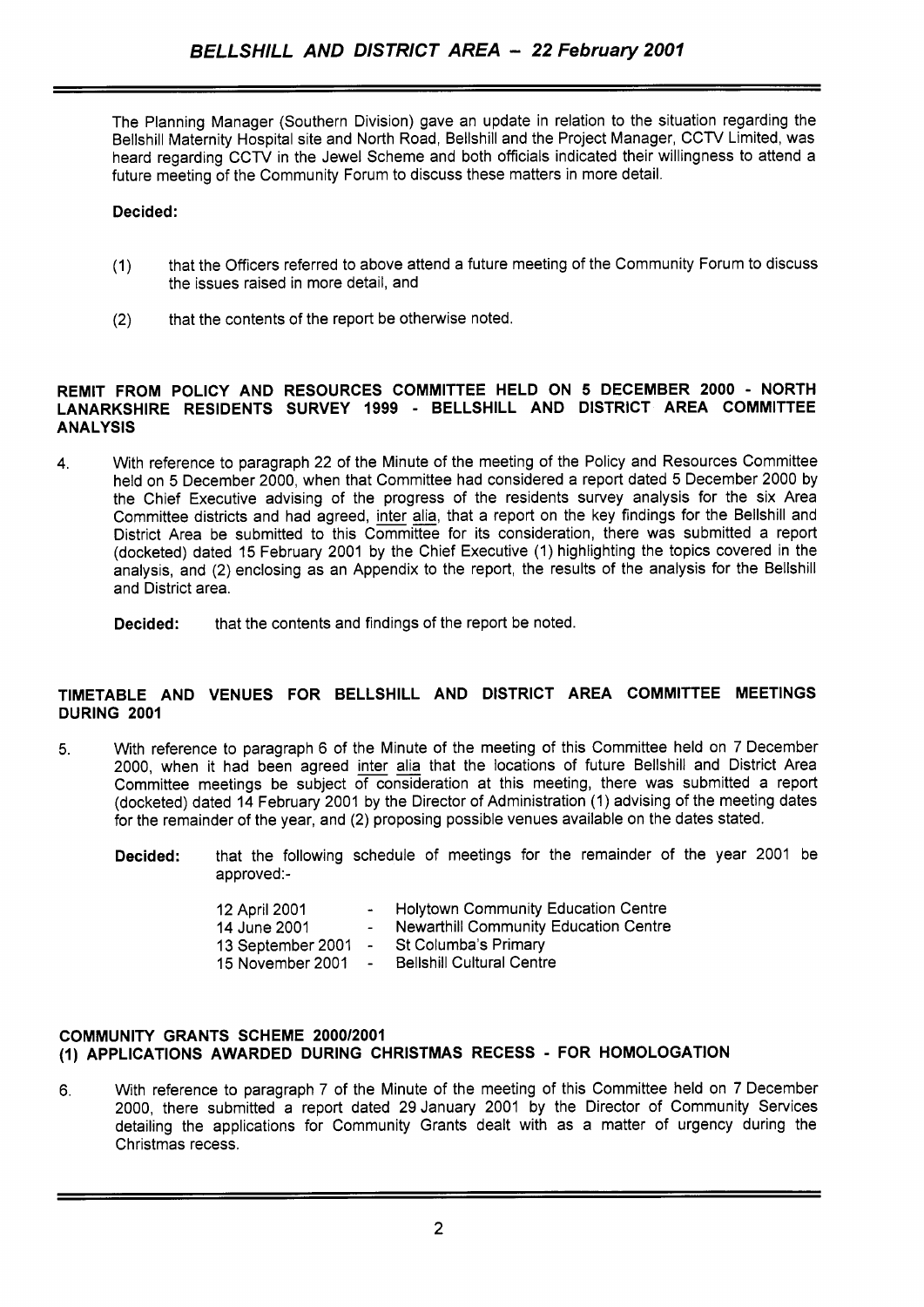The Planning Manager (Southern Division) gave an update in relation to the situation regarding the Bellshill Maternity Hospital site and North Road, Bellshill and the Project Manager, CCTV Limited, was heard regarding CCTV in the Jewel Scheme and both officials indicated their willingness to attend a future meeting of the Community Forum to discuss these matters in more detail.

# **Decided:**

- (1) that the Officers referred to above attend a future meeting of the Community Forum to discuss the issues raised in more detail, and
- (2) that the contents of the report be otherwise noted.

# **REMIT FROM POLICY AND RESOURCES COMMITTEE HELD ON 5 DECEMBER 2000** - **NORTH LANARKSHIRE RESIDENTS SURVEY 1999** - **BELLSHILL AND DISTRICT AREA COMMITTEE ANALYSIS**

4. With reference to paragraph 22 of the Minute of the meeting of the Policy and Resources Committee held on 5 December 2000, when that Committee had considered a report dated 5 December 2000 by the Chief Executive advising of the progress of the residents survey analysis for the six Area Committee districts and had agreed, inter alia, that a report on the key findings for the Bellshill and District Area be submitted to this Committee for its consideration, there was submitted a report (docketed) dated 15 February 2001 by the Chief Executive (1) highlighting the topics covered in the analysis, and (2) enclosing as an Appendix to the report, the results of the analysis for the Bellshill and District area.

**Decided:** that the contents and findings of the report be noted.

# **TIMETABLE AND VENUES FOR BELLSHILL AND DISTRICT AREA COMMITTEE MEETINGS DURING 2001**

- 5. With reference to paragraph 6 of the Minute of the meeting of this Committee held on 7 December 2000, when it had been agreed inter alia that the locations of future Bellshill and District Area Committee meetings be subject of consideration at this meeting, there was submitted a report (docketed) dated 14 February 2001 by the Director of Administration (1) advising of the meeting dates for the remainder of the year, and (2) proposing possible venues available on the dates stated.
	- **Decided:** that the following schedule of meetings for the remainder of the year 2001 be approved:-

| 12 April 2001     | $\mathbf{m} = 0$ | <b>Holytown Community Education Centre</b>   |
|-------------------|------------------|----------------------------------------------|
| 14 June 2001      | $\sim$ 10 $\,$   | <b>Newarthill Community Education Centre</b> |
| 13 September 2001 | $\blacksquare$   | St Columba's Primary                         |
| 15 November 2001  | $\blacksquare$   | <b>Bellshill Cultural Centre</b>             |

#### **COMMUNITY GRANTS SCHEME 200012001 (1) APPLICATIONS AWARDED DURING CHRISTMAS RECESS** - **FOR HOMOLOGATION**

**6.** With reference to paragraph 7 of the Minute of the meeting of this Committee held on 7 December 2000, there submitted a report dated 29 January 2001 by the Director of Community Services detailing the applications for Community Grants dealt with as a matter of urgency during the Christmas recess.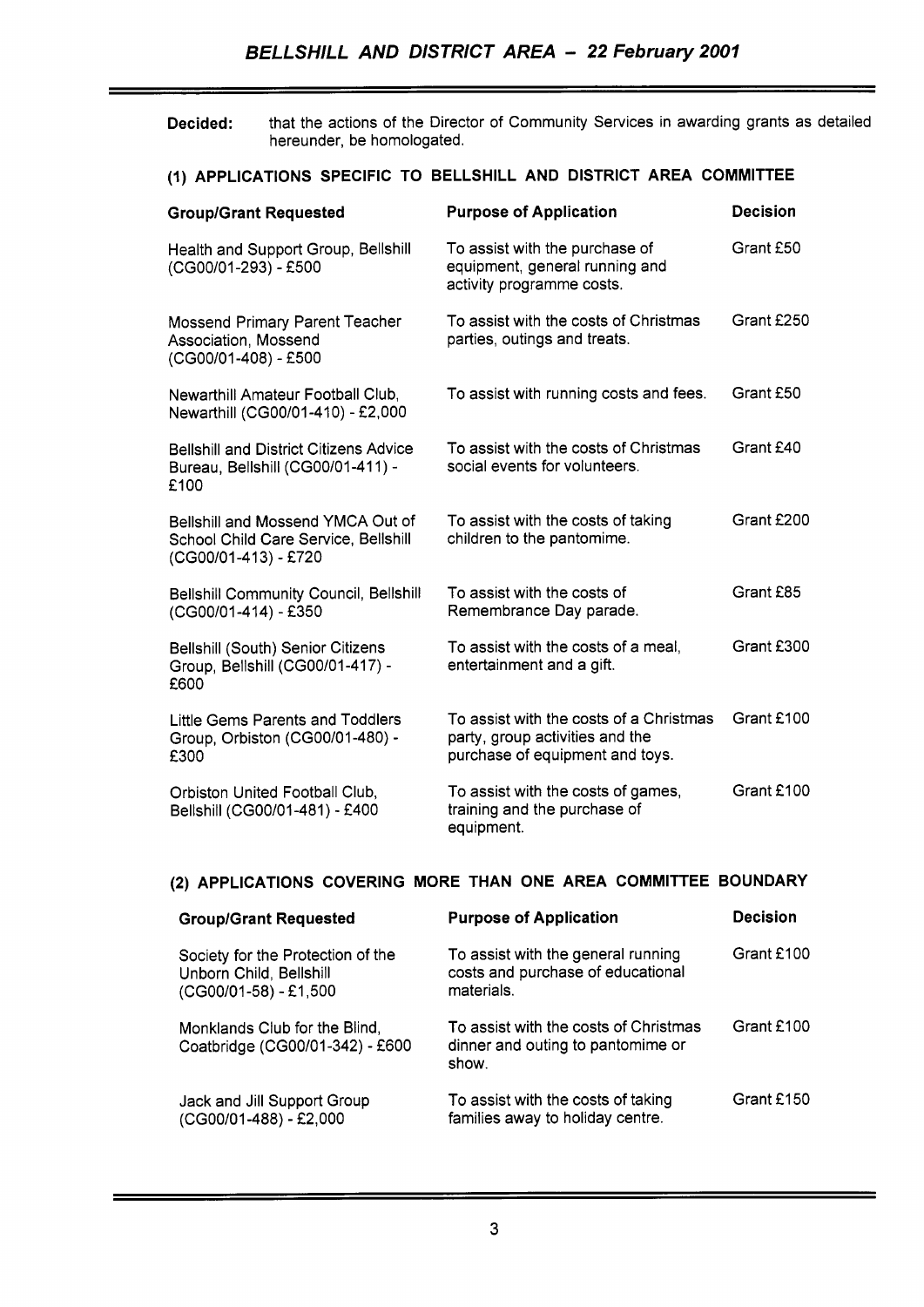**Decided:** that the actions of the Director of Community Services in awarding grants as detailed hereunder, be homologated.

# (I) **APPLICATIONS SPECIFIC TO BELLSHILL AND DISTRICT AREA COMMITTEE**

| <b>Group/Grant Requested</b>                                                                      | <b>Purpose of Application</b>                                                                                 | <b>Decision</b> |
|---------------------------------------------------------------------------------------------------|---------------------------------------------------------------------------------------------------------------|-----------------|
| Health and Support Group, Bellshill<br>(CG00/01-293) - £500                                       | To assist with the purchase of<br>equipment, general running and<br>activity programme costs.                 | Grant £50       |
| Mossend Primary Parent Teacher<br>Association, Mossend<br>(CG00/01-408) - £500                    | To assist with the costs of Christmas<br>parties, outings and treats.                                         | Grant £250      |
| Newarthill Amateur Football Club,<br>Newarthill (CG00/01-410) - £2,000                            | To assist with running costs and fees.                                                                        | Grant £50       |
| <b>Bellshill and District Citizens Advice</b><br>Bureau, Bellshill (CG00/01-411) -<br>£100        | To assist with the costs of Christmas<br>social events for volunteers.                                        | Grant £40       |
| Bellshill and Mossend YMCA Out of<br>School Child Care Service, Bellshill<br>(CG00/01-413) - £720 | To assist with the costs of taking<br>children to the pantomime.                                              | Grant £200      |
| Bellshill Community Council, Bellshill<br>(CG00/01-414) - £350                                    | To assist with the costs of<br>Remembrance Day parade.                                                        | Grant £85       |
| <b>Bellshill (South) Senior Citizens</b><br>Group, Bellshill (CG00/01-417) -<br>£600              | To assist with the costs of a meal,<br>entertainment and a gift.                                              | Grant £300      |
| Little Gems Parents and Toddlers<br>Group, Orbiston (CG00/01-480) -<br>£300                       | To assist with the costs of a Christmas<br>party, group activities and the<br>purchase of equipment and toys. | Grant £100      |
| Orbiston United Football Club,<br>Bellshill (CG00/01-481) - £400                                  | To assist with the costs of games,<br>training and the purchase of<br>equipment.                              | Grant £100      |

# **(2) APPLICATIONS COVERING MORE THAN ONE AREA COMMITTEE BOUNDARY**

| <b>Group/Grant Requested</b>                                                          | <b>Purpose of Application</b>                                                         | <b>Decision</b> |
|---------------------------------------------------------------------------------------|---------------------------------------------------------------------------------------|-----------------|
| Society for the Protection of the<br>Unborn Child, Bellshill<br>(CG00/01-58) - £1,500 | To assist with the general running<br>costs and purchase of educational<br>materials. | Grant £100      |
| Monklands Club for the Blind,<br>Coatbridge (CG00/01-342) - £600                      | To assist with the costs of Christmas<br>dinner and outing to pantomime or<br>show.   | Grant £100      |
| Jack and Jill Support Group<br>(CG00/01-488) - £2,000                                 | To assist with the costs of taking<br>families away to holiday centre.                | Grant £150      |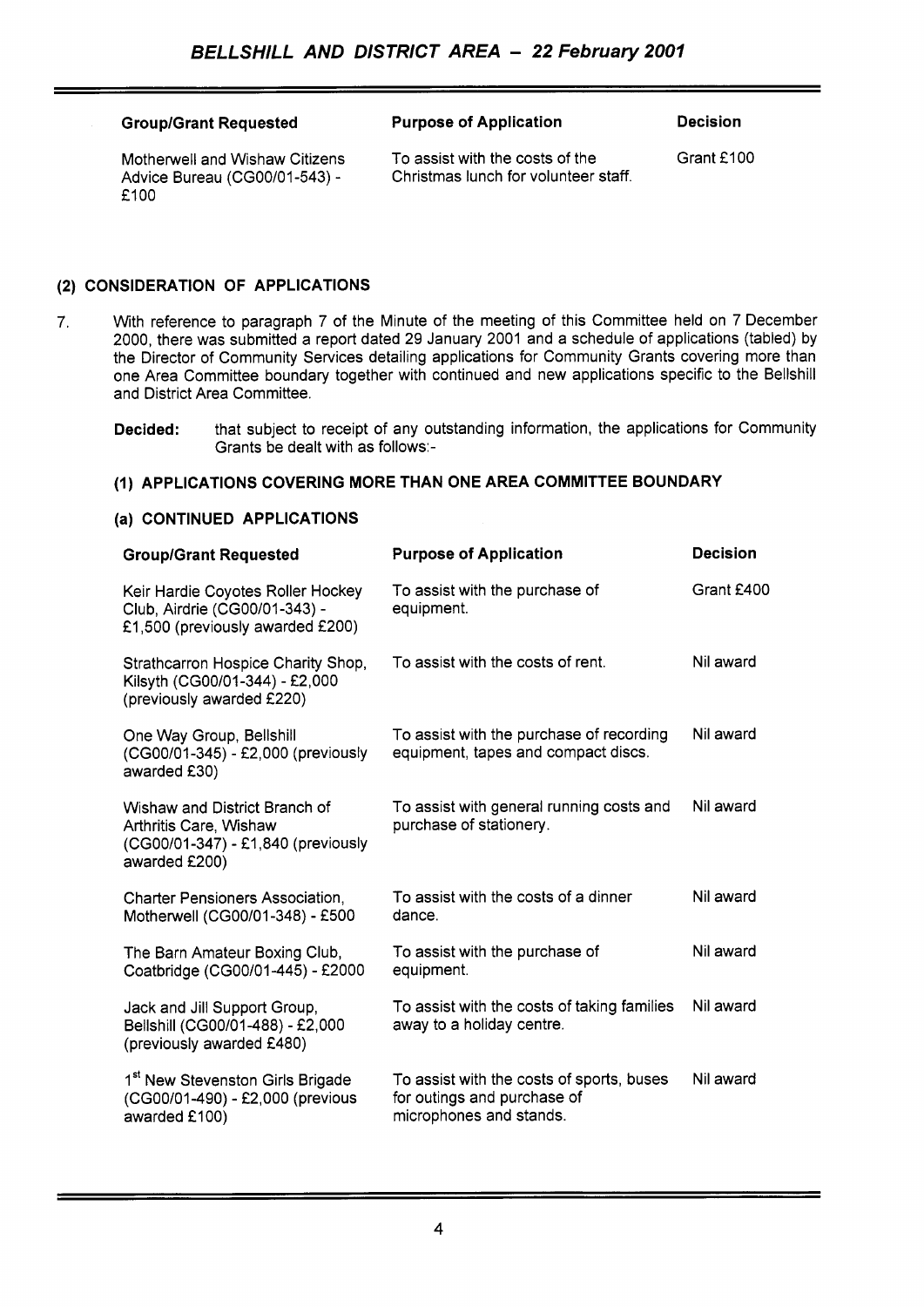#### Group/Grant Requested **Purpose of Application** Decision

Motherwell and Wishaw Citizens Advice Bureau (CG00/01-543) -£100

To assist with the costs of the Christmas lunch for volunteer staff. Grant £100

# **(2) CONSIDERATION OF APPLICATIONS**

- *7.* With reference to paragraph 7 of the Minute of the meeting of this Committee held on 7 December 2000, there was submitted a report dated 29 January 2001 and a schedule of applications (tabled) by the Director of Community Services detailing applications for Community Grants covering more than one Area Committee boundary together with continued and new applications specific to the Bellshill and District Area Committee.
	- **Decided:** that subject to receipt of any outstanding information, the applications for Community Grants be dealt with as follows:-

# **(1) APPLICATIONS COVERING MORE THAN ONE AREA COMMITTEE BOUNDARY**

#### **(a) CONTINUED APPLICATIONS**

| <b>Group/Grant Requested</b>                                                                                   | <b>Purpose of Application</b>                                                                       | Decision   |
|----------------------------------------------------------------------------------------------------------------|-----------------------------------------------------------------------------------------------------|------------|
| Keir Hardie Coyotes Roller Hockey<br>Club, Airdrie (CG00/01-343) -<br>£1,500 (previously awarded £200)         | To assist with the purchase of<br>equipment.                                                        | Grant £400 |
| Strathcarron Hospice Charity Shop,<br>Kilsyth (CG00/01-344) - £2,000<br>(previously awarded £220)              | To assist with the costs of rent.                                                                   | Nil award  |
| One Way Group, Bellshill<br>(CG00/01-345) - £2,000 (previously<br>awarded £30)                                 | To assist with the purchase of recording<br>equipment, tapes and compact discs.                     | Nil award  |
| Wishaw and District Branch of<br>Arthritis Care, Wishaw<br>(CG00/01-347) - £1,840 (previously<br>awarded £200) | To assist with general running costs and<br>purchase of stationery.                                 | Nil award  |
| <b>Charter Pensioners Association,</b><br>Motherwell (CG00/01-348) - £500                                      | To assist with the costs of a dinner<br>dance.                                                      | Nil award  |
| The Barn Amateur Boxing Club,<br>Coatbridge (CG00/01-445) - £2000                                              | To assist with the purchase of<br>equipment.                                                        | Nil award  |
| Jack and Jill Support Group,<br>Bellshill (CG00/01-488) - £2,000<br>(previously awarded £480)                  | To assist with the costs of taking families<br>away to a holiday centre.                            | Nil award  |
| 1 <sup>st</sup> New Stevenston Girls Brigade<br>(CG00/01-490) - £2,000 (previous<br>awarded £100)              | To assist with the costs of sports, buses<br>for outings and purchase of<br>microphones and stands. | Nil award  |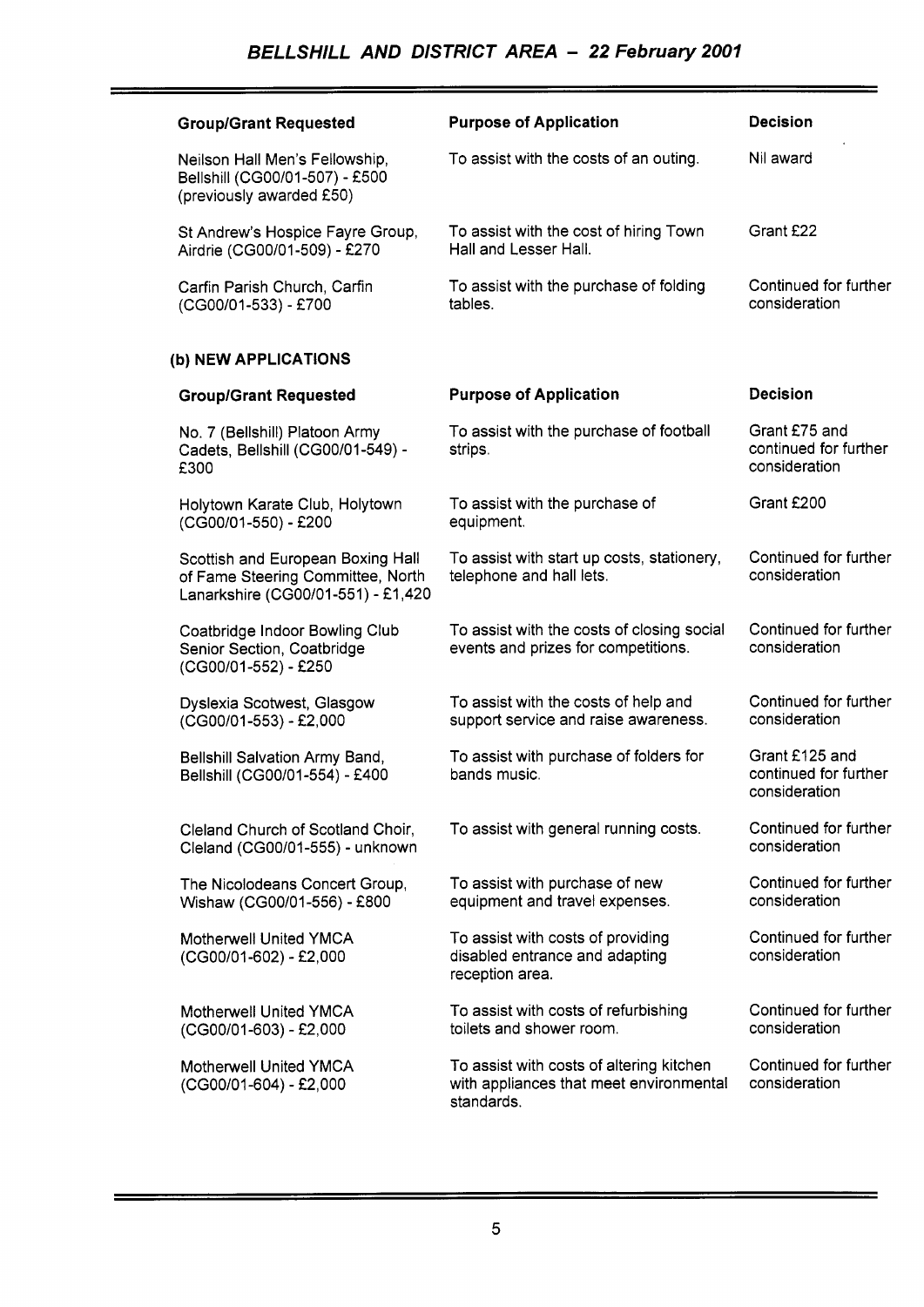| <b>Group/Grant Requested</b>                                                                                 | <b>Purpose of Application</b>                                                                     | <b>Decision</b>                                          |
|--------------------------------------------------------------------------------------------------------------|---------------------------------------------------------------------------------------------------|----------------------------------------------------------|
| Neilson Hall Men's Fellowship,<br>Bellshill (CG00/01-507) - £500<br>(previously awarded £50)                 | To assist with the costs of an outing.                                                            | Nil award                                                |
| St Andrew's Hospice Fayre Group,<br>Airdrie (CG00/01-509) - £270                                             | To assist with the cost of hiring Town<br>Hall and Lesser Hall.                                   | Grant £22                                                |
| Carfin Parish Church, Carfin<br>(CG00/01-533) - £700                                                         | To assist with the purchase of folding<br>tables.                                                 | Continued for further<br>consideration                   |
| (b) NEW APPLICATIONS                                                                                         |                                                                                                   |                                                          |
| <b>Group/Grant Requested</b>                                                                                 | <b>Purpose of Application</b>                                                                     | <b>Decision</b>                                          |
| No. 7 (Bellshill) Platoon Army<br>Cadets, Bellshill (CG00/01-549) -<br>£300                                  | To assist with the purchase of football<br>strips.                                                | Grant £75 and<br>continued for further<br>consideration  |
| Holytown Karate Club, Holytown<br>(CG00/01-550) - £200                                                       | To assist with the purchase of<br>equipment.                                                      | Grant £200                                               |
| Scottish and European Boxing Hall<br>of Fame Steering Committee, North<br>Lanarkshire (CG00/01-551) - £1,420 | To assist with start up costs, stationery,<br>telephone and hall lets.                            | Continued for further<br>consideration                   |
| Coatbridge Indoor Bowling Club<br>Senior Section, Coatbridge<br>(CG00/01-552) - £250                         | To assist with the costs of closing social<br>events and prizes for competitions.                 | Continued for further<br>consideration                   |
| Dyslexia Scotwest, Glasgow<br>(CG00/01-553) - £2,000                                                         | To assist with the costs of help and<br>support service and raise awareness.                      | Continued for further<br>consideration                   |
| Bellshill Salvation Army Band,<br>Bellshill (CG00/01-554) - £400                                             | To assist with purchase of folders for<br>bands music.                                            | Grant £125 and<br>continued for further<br>consideration |
| Cleland Church of Scotland Choir,<br>Cleland (CG00/01-555) - unknown                                         | To assist with general running costs.                                                             | Continued for further<br>consideration                   |
| The Nicolodeans Concert Group,<br>Wishaw (CG00/01-556) - £800                                                | To assist with purchase of new<br>equipment and travel expenses.                                  | Continued for further<br>consideration                   |
| <b>Motherwell United YMCA</b><br>(CG00/01-602) - £2,000                                                      | To assist with costs of providing<br>disabled entrance and adapting<br>reception area.            | Continued for further<br>consideration                   |
| Motherwell United YMCA<br>(CG00/01-603) - £2,000                                                             | To assist with costs of refurbishing<br>toilets and shower room.                                  | Continued for further<br>consideration                   |
| Motherwell United YMCA<br>(CG00/01-604) - £2,000                                                             | To assist with costs of altering kitchen<br>with appliances that meet environmental<br>standards. | Continued for further<br>consideration                   |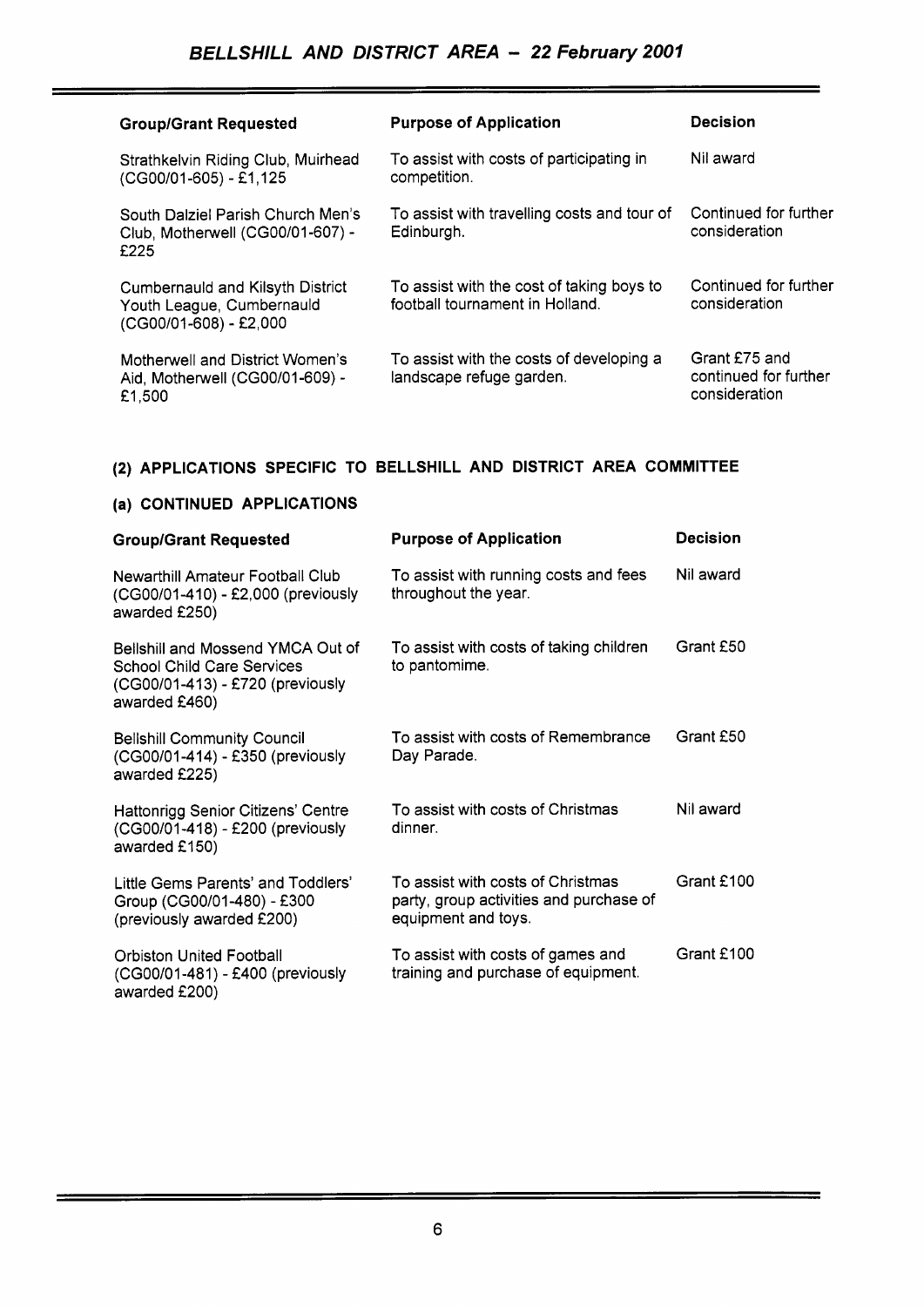| <b>Group/Grant Requested</b>                                                                   | <b>Purpose of Application</b>                                                | <b>Decision</b>                                         |
|------------------------------------------------------------------------------------------------|------------------------------------------------------------------------------|---------------------------------------------------------|
| Strathkelvin Riding Club, Muirhead<br>(CG00/01-605) - £1,125                                   | To assist with costs of participating in<br>competition.                     | Nil award                                               |
| South Dalziel Parish Church Men's<br>Club, Motherwell (CG00/01-607) -<br>£225                  | To assist with travelling costs and tour of<br>Edinburgh.                    | Continued for further<br>consideration                  |
| <b>Cumbernauld and Kilsyth District</b><br>Youth League, Cumbernauld<br>(CG00/01-608) - £2,000 | To assist with the cost of taking boys to<br>football tournament in Holland. | Continued for further<br>consideration                  |
| Motherwell and District Women's<br>Aid, Motherwell (CG00/01-609) -<br>£1,500                   | To assist with the costs of developing a<br>landscape refuge garden.         | Grant £75 and<br>continued for further<br>consideration |

# **(2) APPLICATIONS SPECIFIC TO BELLSHILL AND DISTRICT AREA COMMITTEE**

| (a) CONTINUED APPLICATIONS                                                                                                  |                                                                                                     |                 |  |
|-----------------------------------------------------------------------------------------------------------------------------|-----------------------------------------------------------------------------------------------------|-----------------|--|
| <b>Group/Grant Requested</b>                                                                                                | <b>Purpose of Application</b>                                                                       | <b>Decision</b> |  |
| Newarthill Amateur Football Club<br>(CG00/01-410) - £2,000 (previously<br>awarded £250)                                     | To assist with running costs and fees<br>throughout the year.                                       | Nil award       |  |
| Bellshill and Mossend YMCA Out of<br><b>School Child Care Services</b><br>(CG00/01-413) - £720 (previously<br>awarded £460) | To assist with costs of taking children<br>to pantomime.                                            | Grant £50       |  |
| <b>Bellshill Community Council</b><br>(CG00/01-414) - £350 (previously<br>awarded £225)                                     | To assist with costs of Remembrance<br>Day Parade.                                                  | Grant £50       |  |
| Hattonrigg Senior Citizens' Centre<br>(CG00/01-418) - £200 (previously<br>awarded £150)                                     | To assist with costs of Christmas<br>dinner.                                                        | Nil award       |  |
| Little Gems Parents' and Toddlers'<br>Group (CG00/01-480) - £300<br>(previously awarded £200)                               | To assist with costs of Christmas<br>party, group activities and purchase of<br>equipment and toys. | Grant £100      |  |
| <b>Orbiston United Football</b><br>(CG00/01-481) - £400 (previously<br>awarded £200)                                        | To assist with costs of games and<br>training and purchase of equipment.                            | Grant £100      |  |